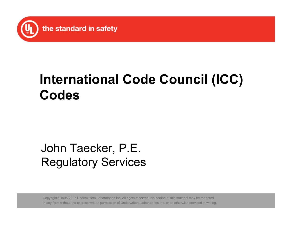

# **International Code Council (ICC) Codes**

## John Taecker, P.E. Regulatory Services

Copyright© 1995-2007 Underwriters Laboratories Inc. All rights reserved. No portion of this material may be reprinted in any form without the express written permission of Underwriters Laboratories Inc. or as otherwise provided in writing.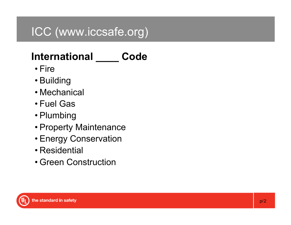## ICC (www.iccsafe.org)

## **International \_\_\_\_ Code**

- Fire
- Building
- Mechanical
- Fuel Gas
- Plumbing
- Property Maintenance
- Energy Conservation
- Residential
- Green Construction

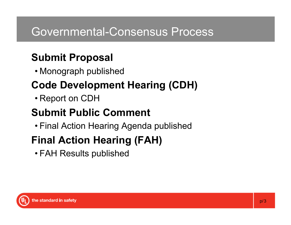### Governmental-Consensus Process

## **Submit Proposal**

• Monograph published

## **Code Development Hearing (CDH)**

• Report on CDH

### **Submit Public Comment**

• Final Action Hearing Agenda published

## **Final Action Hearing (FAH)**

• FAH Results published

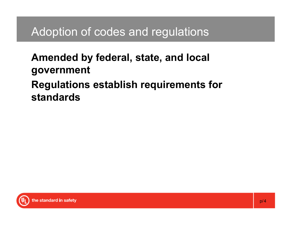## Adoption of codes and regulations

#### **Amended by federal, state, and local government Regulations establish requirements for standards**

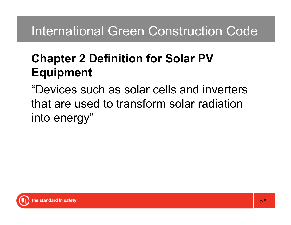# International Green Construction Code

## **Chapter 2 Definition for Solar PV Equipment**

"Devices such as solar cells and inverters that are used to transform solar radiation into energy"

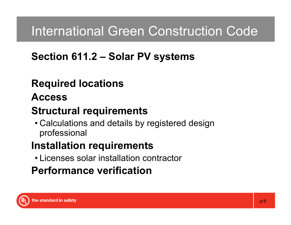# International Green Construction Code

### **Section 611.2 – Solar PV systems**

## **Required locations**

#### **Access**

### **Structural requirements**

• Calculations and details by registered design professional

### **Installation requirements**

• Licenses solar installation contractor

## **Performance verification**